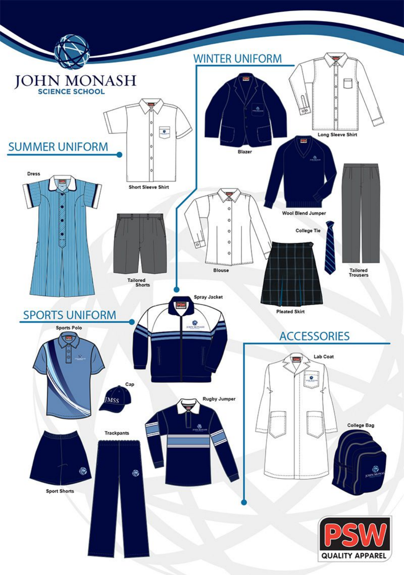